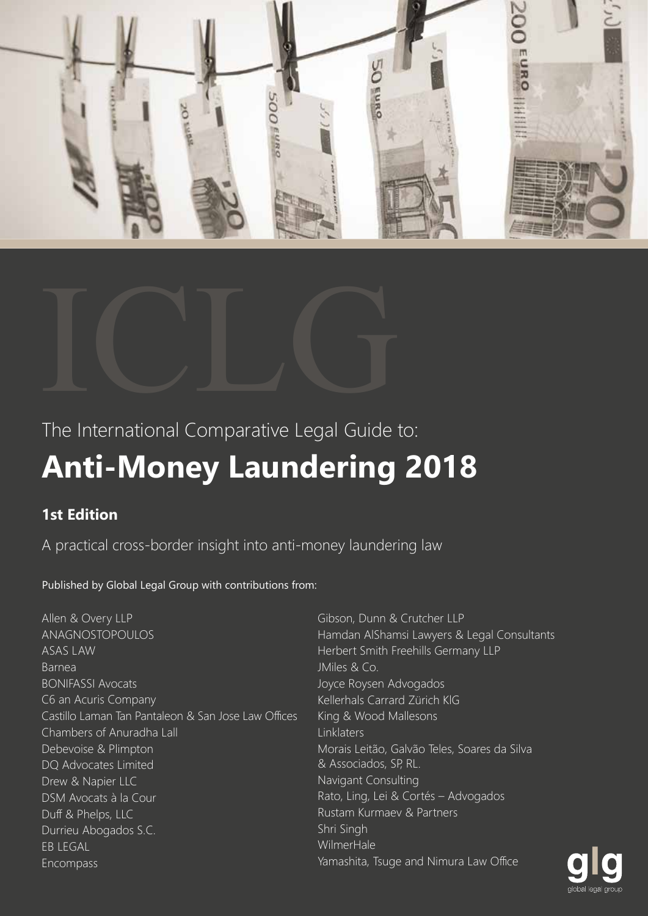



The International Comparative Legal Guide to:

# **Anti-Money Laundering 2018**

# **1st Edition**

A practical cross-border insight into anti-money laundering law

Published by Global Legal Group with contributions from:

Allen & Overy LLP ANAGNOSTOPOULOS ASAS LAW Barnea BONIFASSI Avocats C6 an Acuris Company Castillo Laman Tan Pantaleon & San Jose Law Offices Chambers of Anuradha Lall Debevoise & Plimpton DQ Advocates Limited Drew & Napier LLC DSM Avocats à la Cour Duff & Phelps, LLC Durrieu Abogados S.C. EB LEGAL Encompass

Gibson, Dunn & Crutcher LLP Hamdan AlShamsi Lawyers & Legal Consultants Herbert Smith Freehills Germany LLP JMiles & Co. Joyce Roysen Advogados Kellerhals Carrard Zürich KlG King & Wood Mallesons **Linklaters** Morais Leitão, Galvão Teles, Soares da Silva & Associados, SP, RL. Navigant Consulting Rato, Ling, Lei & Cortés – Advogados Rustam Kurmaev & Partners Shri Singh WilmerHale Yamashita, Tsuge and Nimura Law Office

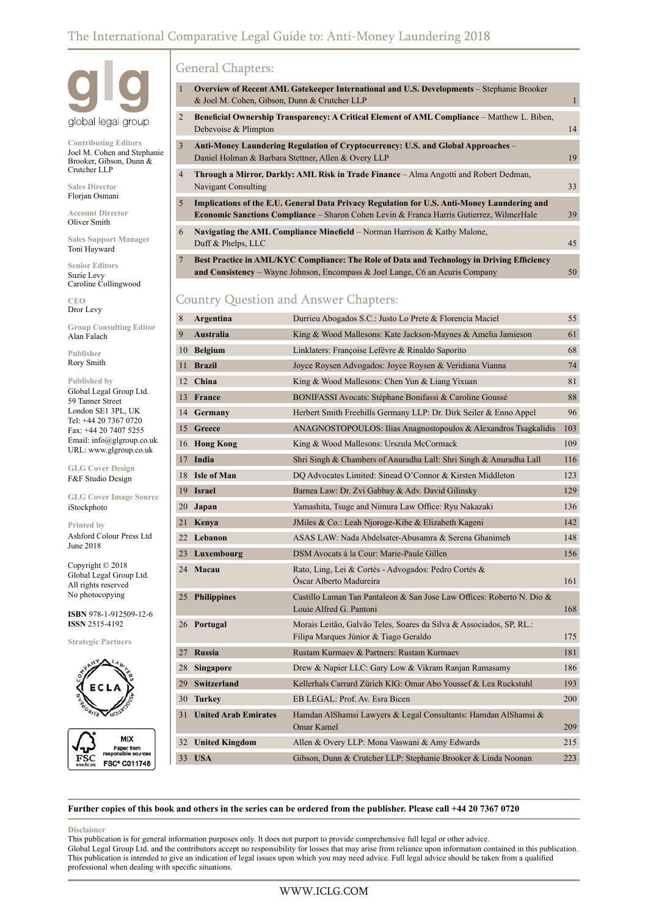

**Contributing Editors** Joel M. Cohen and Stephanie Brooker, Gibson, Dunn & Crutcher LLP

**Sales Director** Florjan Osmani

**Account Director** Oliver Smith

**Sales Support Manager** Toni Hayward

**Senior Editors** Suzie Levy Caroline Collingwood

**CEO** Dror Levy

**Group Consulting Editor** Alan Falach

**Publisher** Rory Smith

**Published by** Global Legal Group Ltd. 59 Tanner Street London SE1 3PL, UK Tel: +44 20 7367 0720 Fax: +44 20 7407 5255 Email: info@glgroup.co.uk URL: www.glgroup.co.uk

**GLG Cover Design** F&F Studio Design

**GLG Cover Image Source** iStockphoto

**Printed by** Ashford Colour Press Ltd June 2018

Copyright © 2018 Global Legal Group Ltd. All rights reserved No photocopying

**ISBN** 978-1-912509-12-6 **ISSN** 2515-4192

**Strategic Partners**



**MIX** FSC FSC® C011748

### General Chapters:

| $\mathbf{1}$    | Overview of Recent AML Gatekeeper International and U.S. Developments – Stephanie Brooker<br>& Joel M. Cohen, Gibson, Dunn & Crutcher LLP                                                          | 1  |
|-----------------|----------------------------------------------------------------------------------------------------------------------------------------------------------------------------------------------------|----|
| 2               | Beneficial Ownership Transparency: A Critical Element of AML Compliance – Matthew L. Biben,<br>Debevoise & Plimpton                                                                                | 14 |
| 3               | Anti-Money Laundering Regulation of Cryptocurrency: U.S. and Global Approaches –<br>Daniel Holman & Barbara Stettner, Allen & Overy LLP                                                            | 19 |
| $\overline{4}$  | <b>Through a Mirror, Darkly: AML Risk in Trade Finance</b> – Alma Angotti and Robert Dedman,<br>Navigant Consulting                                                                                | 33 |
| 5               | Implications of the E.U. General Data Privacy Regulation for U.S. Anti-Money Laundering and<br><b>Economic Sanctions Compliance – Sharon Cohen Levin &amp; Franca Harris Gutierrez, WilmerHale</b> | 39 |
| 6               | <b>Navigating the AML Compliance Minefield</b> – Norman Harrison & Kathy Malone,<br>Duff & Phelps, LLC                                                                                             | 45 |
| $7\phantom{.0}$ | Best Practice in AML/KYC Compliance: The Role of Data and Technology in Driving Efficiency<br>and Consistency – Wayne Johnson, Encompass & Joel Lange, C6 an Acuris Company                        | 50 |

#### Country Question and Answer Chapters:

| 8    | Argentina                   | Durrieu Abogados S.C.: Justo Lo Prete & Florencia Maciel                                                     | 55  |
|------|-----------------------------|--------------------------------------------------------------------------------------------------------------|-----|
| 9    | <b>Australia</b>            | King & Wood Mallesons: Kate Jackson-Maynes & Amelia Jamieson                                                 | 61  |
|      | 10 Belgium                  | Linklaters: Françoise Lefèvre & Rinaldo Saporito                                                             | 68  |
| 11 - | <b>Brazil</b>               | Joyce Roysen Advogados: Joyce Roysen & Veridiana Vianna                                                      | 74  |
|      | 12 China                    | King & Wood Mallesons: Chen Yun & Liang Yixuan                                                               | 81  |
|      | 13 France                   | BONIFASSI Avocats: Stéphane Bonifassi & Caroline Goussé                                                      | 88  |
|      | 14 Germany                  | Herbert Smith Freehills Germany LLP: Dr. Dirk Seiler & Enno Appel                                            | 96  |
|      | 15 Greece                   | ANAGNOSTOPOULOS: Ilias Anagnostopoulos & Alexandros Tsagkalidis                                              | 103 |
|      | 16 Hong Kong                | King & Wood Mallesons: Urszula McCormack                                                                     | 109 |
|      | 17 India                    | Shri Singh & Chambers of Anuradha Lall: Shri Singh & Anuradha Lall                                           | 116 |
|      | 18 Isle of Man              | DO Advocates Limited: Sinead O'Connor & Kirsten Middleton                                                    | 123 |
|      | 19 Israel                   | Barnea Law: Dr. Zvi Gabbay & Adv. David Gilinsky                                                             | 129 |
|      | 20 Japan                    | Yamashita, Tsuge and Nimura Law Office: Ryu Nakazaki                                                         | 136 |
|      | 21 Kenya                    | JMiles & Co.: Leah Njoroge-Kibe & Elizabeth Kageni                                                           | 142 |
|      | 22 Lebanon                  | ASAS LAW: Nada Abdelsater-Abusamra & Serena Ghanimeh                                                         | 148 |
| 23   | Luxembourg                  | DSM Avocats à la Cour: Marie-Paule Gillen                                                                    | 156 |
|      | 24 Macau                    | Rato, Ling, Lei & Cortés - Advogados: Pedro Cortés &<br>Óscar Alberto Madureira                              | 161 |
|      | 25 Philippines              | Castillo Laman Tan Pantaleon & San Jose Law Offices: Roberto N. Dio &<br>Louie Alfred G. Pantoni             | 168 |
|      | 26 Portugal                 | Morais Leitão, Galvão Teles, Soares da Silva & Associados, SP, RL.:<br>Filipa Marques Júnior & Tiago Geraldo | 175 |
| 27   | <b>Russia</b>               | Rustam Kurmaev & Partners: Rustam Kurmaev                                                                    | 181 |
| 28   | <b>Singapore</b>            | Drew & Napier LLC: Gary Low & Vikram Ranjan Ramasamy                                                         | 186 |
|      | 29 Switzerland              | Kellerhals Carrard Zürich KlG: Omar Abo Youssef & Lea Ruckstuhl                                              | 193 |
| 30   | <b>Turkey</b>               | EB LEGAL: Prof. Av. Esra Bicen                                                                               | 200 |
| 31   | <b>United Arab Emirates</b> | Hamdan AlShamsi Lawyers & Legal Consultants: Hamdan AlShamsi &<br><b>Omar Kamel</b>                          | 209 |
|      | 32 United Kingdom           | Allen & Overy LLP: Mona Vaswani & Amy Edwards                                                                | 215 |
|      | 33 USA                      | Gibson, Dunn & Crutcher LLP: Stephanie Brooker & Linda Noonan                                                | 223 |

**Further copies of this book and others in the series can be ordered from the publisher. Please call +44 20 7367 0720**

#### **Disclaimer**

This publication is for general information purposes only. It does not purport to provide comprehensive full legal or other advice. Global Legal Group Ltd. and the contributors accept no responsibility for losses that may arise from reliance upon information contained in this publication. This publication is intended to give an indication of legal issues upon which you may need advice. Full legal advice should be taken from a qualified professional when dealing with specific situations.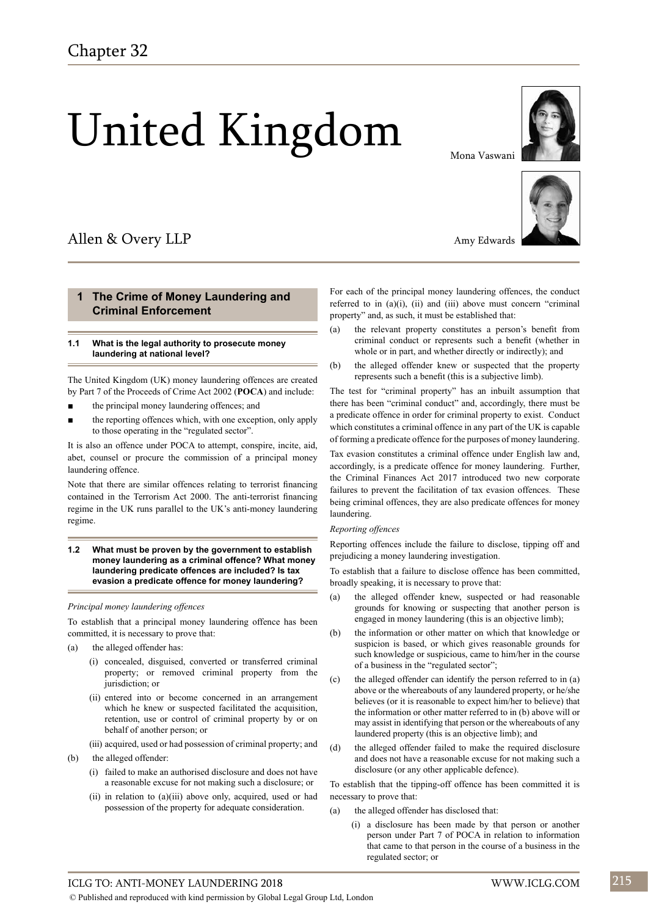© Published and reproduced with kind permission by Global Legal Group Ltd, London

# United Kingdom

# Allen & Overy LLP

#### **1 The Crime of Money Laundering and Criminal Enforcement**

#### **1.1 What is the legal authority to prosecute money laundering at national level?**

The United Kingdom (UK) money laundering offences are created by Part 7 of the Proceeds of Crime Act 2002 (**POCA**) and include:

- the principal money laundering offences; and
- the reporting offences which, with one exception, only apply to those operating in the "regulated sector".

It is also an offence under POCA to attempt, conspire, incite, aid, abet, counsel or procure the commission of a principal money laundering offence.

Note that there are similar offences relating to terrorist financing contained in the Terrorism Act 2000. The anti-terrorist financing regime in the UK runs parallel to the UK's anti-money laundering regime.

#### **1.2 What must be proven by the government to establish money laundering as a criminal offence? What money laundering predicate offences are included? Is tax evasion a predicate offence for money laundering?**

#### *Principal money laundering offences*

To establish that a principal money laundering offence has been committed, it is necessary to prove that:

- (a) the alleged offender has:
	- (i) concealed, disguised, converted or transferred criminal property; or removed criminal property from the jurisdiction; or
	- (ii) entered into or become concerned in an arrangement which he knew or suspected facilitated the acquisition, retention, use or control of criminal property by or on behalf of another person; or

(iii) acquired, used or had possession of criminal property; and

- (b) the alleged offender:
	- (i) failed to make an authorised disclosure and does not have a reasonable excuse for not making such a disclosure; or
	- (ii) in relation to (a)(iii) above only, acquired, used or had possession of the property for adequate consideration.

Amy Edwards

Mona Vaswani





For each of the principal money laundering offences, the conduct referred to in (a)(i), (ii) and (iii) above must concern "criminal property" and, as such, it must be established that:

- (a) the relevant property constitutes a person's benefit from criminal conduct or represents such a benefit (whether in whole or in part, and whether directly or indirectly); and
- (b) the alleged offender knew or suspected that the property represents such a benefit (this is a subjective limb).

The test for "criminal property" has an inbuilt assumption that there has been "criminal conduct" and, accordingly, there must be a predicate offence in order for criminal property to exist. Conduct which constitutes a criminal offence in any part of the UK is capable of forming a predicate offence for the purposes of money laundering.

Tax evasion constitutes a criminal offence under English law and, accordingly, is a predicate offence for money laundering. Further, the Criminal Finances Act 2017 introduced two new corporate failures to prevent the facilitation of tax evasion offences. These being criminal offences, they are also predicate offences for money laundering.

#### *Reporting offences*

Reporting offences include the failure to disclose, tipping off and prejudicing a money laundering investigation.

To establish that a failure to disclose offence has been committed, broadly speaking, it is necessary to prove that:

- (a) the alleged offender knew, suspected or had reasonable grounds for knowing or suspecting that another person is engaged in money laundering (this is an objective limb);
- (b) the information or other matter on which that knowledge or suspicion is based, or which gives reasonable grounds for such knowledge or suspicious, came to him/her in the course of a business in the "regulated sector";
- (c) the alleged offender can identify the person referred to in (a) above or the whereabouts of any laundered property, or he/she believes (or it is reasonable to expect him/her to believe) that the information or other matter referred to in (b) above will or may assist in identifying that person or the whereabouts of any laundered property (this is an objective limb); and
- (d) the alleged offender failed to make the required disclosure and does not have a reasonable excuse for not making such a disclosure (or any other applicable defence).

To establish that the tipping-off offence has been committed it is necessary to prove that:

- (a) the alleged offender has disclosed that:
	- (i) a disclosure has been made by that person or another person under Part 7 of POCA in relation to information that came to that person in the course of a business in the regulated sector; or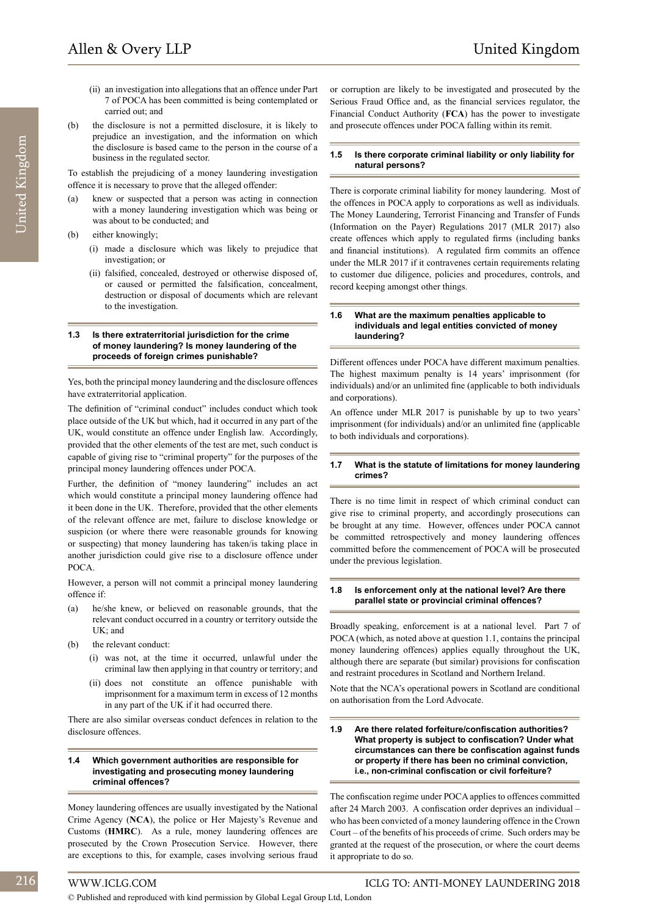- United Kingdom United Kingdom
- (ii) an investigation into allegations that an offence under Part 7 of POCA has been committed is being contemplated or carried out; and
- (b) the disclosure is not a permitted disclosure, it is likely to prejudice an investigation, and the information on which the disclosure is based came to the person in the course of a business in the regulated sector.

To establish the prejudicing of a money laundering investigation offence it is necessary to prove that the alleged offender:

- (a) knew or suspected that a person was acting in connection with a money laundering investigation which was being or was about to be conducted; and
- (b) either knowingly;
	- (i) made a disclosure which was likely to prejudice that investigation; or
	- (ii) falsified, concealed, destroyed or otherwise disposed of, or caused or permitted the falsification, concealment, destruction or disposal of documents which are relevant to the investigation.

#### **1.3 Is there extraterritorial jurisdiction for the crime of money laundering? Is money laundering of the proceeds of foreign crimes punishable?**

Yes, both the principal money laundering and the disclosure offences have extraterritorial application.

The definition of "criminal conduct" includes conduct which took place outside of the UK but which, had it occurred in any part of the UK, would constitute an offence under English law. Accordingly, provided that the other elements of the test are met, such conduct is capable of giving rise to "criminal property" for the purposes of the principal money laundering offences under POCA.

Further, the definition of "money laundering" includes an act which would constitute a principal money laundering offence had it been done in the UK. Therefore, provided that the other elements of the relevant offence are met, failure to disclose knowledge or suspicion (or where there were reasonable grounds for knowing or suspecting) that money laundering has taken/is taking place in another jurisdiction could give rise to a disclosure offence under POCA.

However, a person will not commit a principal money laundering offence if:

- (a) he/she knew, or believed on reasonable grounds, that the relevant conduct occurred in a country or territory outside the UK; and
- (b) the relevant conduct:
	- (i) was not, at the time it occurred, unlawful under the criminal law then applying in that country or territory; and
	- (ii) does not constitute an offence punishable with imprisonment for a maximum term in excess of 12 months in any part of the UK if it had occurred there.

There are also similar overseas conduct defences in relation to the disclosure offences.

#### **1.4 Which government authorities are responsible for investigating and prosecuting money laundering criminal offences?**

Money laundering offences are usually investigated by the National Crime Agency (**NCA**), the police or Her Majesty's Revenue and Customs (**HMRC**). As a rule, money laundering offences are prosecuted by the Crown Prosecution Service. However, there are exceptions to this, for example, cases involving serious fraud

or corruption are likely to be investigated and prosecuted by the Serious Fraud Office and, as the financial services regulator, the Financial Conduct Authority (**FCA**) has the power to investigate and prosecute offences under POCA falling within its remit.

#### **1.5 Is there corporate criminal liability or only liability for natural persons?**

There is corporate criminal liability for money laundering. Most of the offences in POCA apply to corporations as well as individuals. The Money Laundering, Terrorist Financing and Transfer of Funds (Information on the Payer) Regulations 2017 (MLR 2017) also create offences which apply to regulated firms (including banks and financial institutions). A regulated firm commits an offence under the MLR 2017 if it contravenes certain requirements relating to customer due diligence, policies and procedures, controls, and record keeping amongst other things.

#### **1.6 What are the maximum penalties applicable to individuals and legal entities convicted of money laundering?**

Different offences under POCA have different maximum penalties. The highest maximum penalty is 14 years' imprisonment (for individuals) and/or an unlimited fine (applicable to both individuals and corporations).

An offence under MLR 2017 is punishable by up to two years' imprisonment (for individuals) and/or an unlimited fine (applicable to both individuals and corporations).

#### **1.7 What is the statute of limitations for money laundering crimes?**

There is no time limit in respect of which criminal conduct can give rise to criminal property, and accordingly prosecutions can be brought at any time. However, offences under POCA cannot be committed retrospectively and money laundering offences committed before the commencement of POCA will be prosecuted under the previous legislation.

#### **1.8 Is enforcement only at the national level? Are there parallel state or provincial criminal offences?**

Broadly speaking, enforcement is at a national level. Part 7 of POCA (which, as noted above at question 1.1, contains the principal money laundering offences) applies equally throughout the UK, although there are separate (but similar) provisions for confiscation and restraint procedures in Scotland and Northern Ireland.

Note that the NCA's operational powers in Scotland are conditional on authorisation from the Lord Advocate.

#### **1.9 Are there related forfeiture/confiscation authorities? What property is subject to confiscation? Under what circumstances can there be confiscation against funds or property if there has been no criminal conviction, i.e., non-criminal confiscation or civil forfeiture?**

The confiscation regime under POCA applies to offences committed after 24 March 2003. A confiscation order deprives an individual – who has been convicted of a money laundering offence in the Crown Court – of the benefits of his proceeds of crime. Such orders may be granted at the request of the prosecution, or where the court deems it appropriate to do so.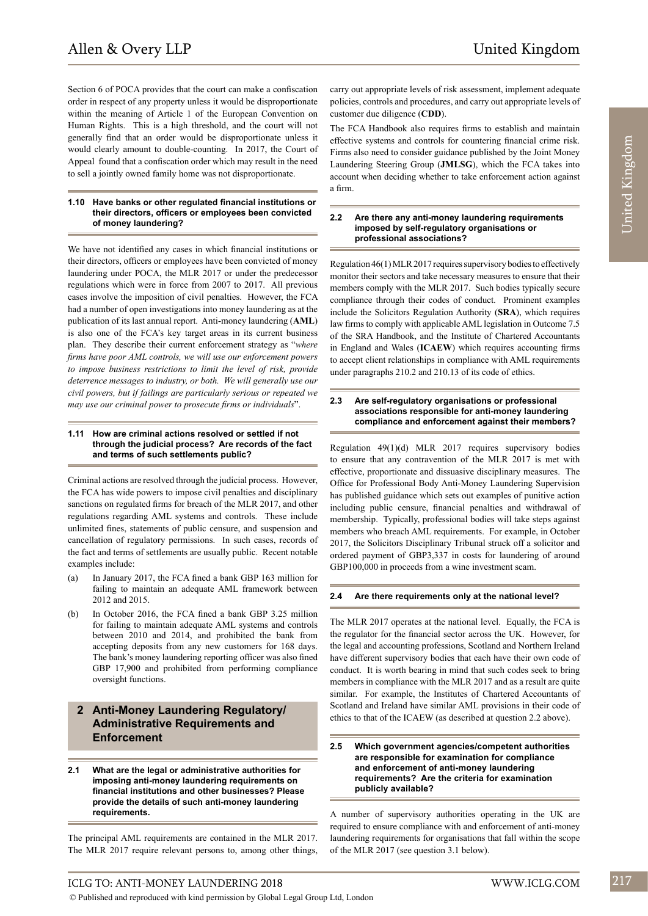Section 6 of POCA provides that the court can make a confiscation order in respect of any property unless it would be disproportionate within the meaning of Article 1 of the European Convention on Human Rights. This is a high threshold, and the court will not generally find that an order would be disproportionate unless it would clearly amount to double-counting. In 2017, the Court of Appeal found that a confiscation order which may result in the need to sell a jointly owned family home was not disproportionate.

#### **1.10 Have banks or other regulated financial institutions or their directors, officers or employees been convicted of money laundering?**

We have not identified any cases in which financial institutions or their directors, officers or employees have been convicted of money laundering under POCA, the MLR 2017 or under the predecessor regulations which were in force from 2007 to 2017. All previous cases involve the imposition of civil penalties. However, the FCA had a number of open investigations into money laundering as at the publication of its last annual report. Anti-money laundering (**AML**) is also one of the FCA's key target areas in its current business plan. They describe their current enforcement strategy as "*where firms have poor AML controls, we will use our enforcement powers to impose business restrictions to limit the level of risk, provide deterrence messages to industry, or both. We will generally use our civil powers, but if failings are particularly serious or repeated we may use our criminal power to prosecute firms or individuals*".

#### **1.11 How are criminal actions resolved or settled if not through the judicial process? Are records of the fact and terms of such settlements public?**

Criminal actions are resolved through the judicial process. However, the FCA has wide powers to impose civil penalties and disciplinary sanctions on regulated firms for breach of the MLR 2017, and other regulations regarding AML systems and controls. These include unlimited fines, statements of public censure, and suspension and cancellation of regulatory permissions. In such cases, records of the fact and terms of settlements are usually public. Recent notable examples include:

- (a) In January 2017, the FCA fined a bank GBP 163 million for failing to maintain an adequate AML framework between 2012 and 2015.
- (b) In October 2016, the FCA fined a bank GBP 3.25 million for failing to maintain adequate AML systems and controls between 2010 and 2014, and prohibited the bank from accepting deposits from any new customers for 168 days. The bank's money laundering reporting officer was also fined GBP 17,900 and prohibited from performing compliance oversight functions.

#### **2 Anti-Money Laundering Regulatory/ Administrative Requirements and Enforcement**

#### **2.1 What are the legal or administrative authorities for imposing anti-money laundering requirements on financial institutions and other businesses? Please provide the details of such anti-money laundering requirements.**

The principal AML requirements are contained in the MLR 2017. The MLR 2017 require relevant persons to, among other things,

carry out appropriate levels of risk assessment, implement adequate policies, controls and procedures, and carry out appropriate levels of customer due diligence (**CDD**).

The FCA Handbook also requires firms to establish and maintain effective systems and controls for countering financial crime risk. Firms also need to consider guidance published by the Joint Money Laundering Steering Group (**JMLSG**), which the FCA takes into account when deciding whether to take enforcement action against a firm.

#### **2.2 Are there any anti-money laundering requirements imposed by self-regulatory organisations or professional associations?**

Regulation 46(1) MLR 2017 requires supervisory bodies to effectively monitor their sectors and take necessary measures to ensure that their members comply with the MLR 2017. Such bodies typically secure compliance through their codes of conduct. Prominent examples include the Solicitors Regulation Authority (**SRA**), which requires law firms to comply with applicable AML legislation in Outcome 7.5 of the SRA Handbook, and the Institute of Chartered Accountants in England and Wales (**ICAEW**) which requires accounting firms to accept client relationships in compliance with AML requirements under paragraphs 210.2 and 210.13 of its code of ethics.

#### **2.3 Are self-regulatory organisations or professional associations responsible for anti-money laundering compliance and enforcement against their members?**

Regulation 49(1)(d) MLR 2017 requires supervisory bodies to ensure that any contravention of the MLR 2017 is met with effective, proportionate and dissuasive disciplinary measures. The Office for Professional Body Anti-Money Laundering Supervision has published guidance which sets out examples of punitive action including public censure, financial penalties and withdrawal of membership. Typically, professional bodies will take steps against members who breach AML requirements. For example, in October 2017, the Solicitors Disciplinary Tribunal struck off a solicitor and ordered payment of GBP3,337 in costs for laundering of around GBP100,000 in proceeds from a wine investment scam.

#### **2.4 Are there requirements only at the national level?**

The MLR 2017 operates at the national level. Equally, the FCA is the regulator for the financial sector across the UK. However, for the legal and accounting professions, Scotland and Northern Ireland have different supervisory bodies that each have their own code of conduct. It is worth bearing in mind that such codes seek to bring members in compliance with the MLR 2017 and as a result are quite similar. For example, the Institutes of Chartered Accountants of Scotland and Ireland have similar AML provisions in their code of ethics to that of the ICAEW (as described at question 2.2 above).

#### **2.5 Which government agencies/competent authorities are responsible for examination for compliance and enforcement of anti-money laundering requirements? Are the criteria for examination publicly available?**

A number of supervisory authorities operating in the UK are required to ensure compliance with and enforcement of anti-money laundering requirements for organisations that fall within the scope of the MLR 2017 (see question 3.1 below).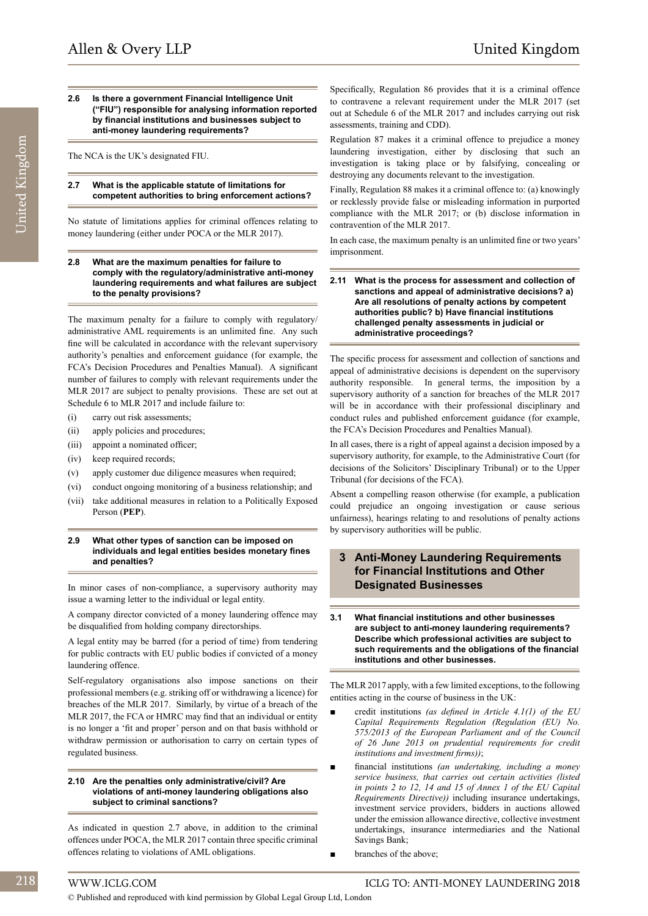#### **2.6 Is there a government Financial Intelligence Unit ("FIU") responsible for analysing information reported by financial institutions and businesses subject to anti-money laundering requirements?**

The NCA is the UK's designated FIU.

#### **2.7 What is the applicable statute of limitations for competent authorities to bring enforcement actions?**

No statute of limitations applies for criminal offences relating to money laundering (either under POCA or the MLR 2017).

#### **2.8 What are the maximum penalties for failure to comply with the regulatory/administrative anti-money laundering requirements and what failures are subject to the penalty provisions?**

The maximum penalty for a failure to comply with regulatory/ administrative AML requirements is an unlimited fine. Any such fine will be calculated in accordance with the relevant supervisory authority's penalties and enforcement guidance (for example, the FCA's Decision Procedures and Penalties Manual). A significant number of failures to comply with relevant requirements under the MLR 2017 are subject to penalty provisions. These are set out at Schedule 6 to MLR 2017 and include failure to:

- (i) carry out risk assessments;
- (ii) apply policies and procedures;
- (iii) appoint a nominated officer;
- (iv) keep required records;
- (v) apply customer due diligence measures when required;
- (vi) conduct ongoing monitoring of a business relationship; and
- (vii) take additional measures in relation to a Politically Exposed Person (**PEP**).

#### **2.9 What other types of sanction can be imposed on individuals and legal entities besides monetary fines and penalties?**

In minor cases of non-compliance, a supervisory authority may issue a warning letter to the individual or legal entity.

A company director convicted of a money laundering offence may be disqualified from holding company directorships.

A legal entity may be barred (for a period of time) from tendering for public contracts with EU public bodies if convicted of a money laundering offence.

Self-regulatory organisations also impose sanctions on their professional members (e.g. striking off or withdrawing a licence) for breaches of the MLR 2017. Similarly, by virtue of a breach of the MLR 2017, the FCA or HMRC may find that an individual or entity is no longer a 'fit and proper' person and on that basis withhold or withdraw permission or authorisation to carry on certain types of regulated business.

#### **2.10 Are the penalties only administrative/civil? Are violations of anti-money laundering obligations also subject to criminal sanctions?**

As indicated in question 2.7 above, in addition to the criminal offences under POCA, the MLR 2017 contain three specific criminal offences relating to violations of AML obligations.

Specifically, Regulation 86 provides that it is a criminal offence to contravene a relevant requirement under the MLR 2017 (set out at Schedule 6 of the MLR 2017 and includes carrying out risk assessments, training and CDD).

Regulation 87 makes it a criminal offence to prejudice a money laundering investigation, either by disclosing that such an investigation is taking place or by falsifying, concealing or destroying any documents relevant to the investigation.

Finally, Regulation 88 makes it a criminal offence to: (a) knowingly or recklessly provide false or misleading information in purported compliance with the MLR 2017; or (b) disclose information in contravention of the MLR 2017.

In each case, the maximum penalty is an unlimited fine or two years' imprisonment.

#### **2.11 What is the process for assessment and collection of sanctions and appeal of administrative decisions? a) Are all resolutions of penalty actions by competent authorities public? b) Have financial institutions challenged penalty assessments in judicial or administrative proceedings?**

The specific process for assessment and collection of sanctions and appeal of administrative decisions is dependent on the supervisory authority responsible. In general terms, the imposition by a supervisory authority of a sanction for breaches of the MLR 2017 will be in accordance with their professional disciplinary and conduct rules and published enforcement guidance (for example, the FCA's Decision Procedures and Penalties Manual).

In all cases, there is a right of appeal against a decision imposed by a supervisory authority, for example, to the Administrative Court (for decisions of the Solicitors' Disciplinary Tribunal) or to the Upper Tribunal (for decisions of the FCA).

Absent a compelling reason otherwise (for example, a publication could prejudice an ongoing investigation or cause serious unfairness), hearings relating to and resolutions of penalty actions by supervisory authorities will be public.

#### **3 Anti-Money Laundering Requirements for Financial Institutions and Other Designated Businesses**

**3.1 What financial institutions and other businesses are subject to anti-money laundering requirements? Describe which professional activities are subject to such requirements and the obligations of the financial institutions and other businesses.** 

The MLR 2017 apply, with a few limited exceptions, to the following entities acting in the course of business in the UK:

- credit institutions *(as defined in Article 4.1(1)* of the EU *Capital Requirements Regulation (Regulation (EU) No. 575/2013 of the European Parliament and of the Council of 26 June 2013 on prudential requirements for credit institutions and investment firms))*;
- financial institutions *(an undertaking, including a money service business, that carries out certain activities (listed in points 2 to 12, 14 and 15 of Annex 1 of the EU Capital Requirements Directive))* including insurance undertakings, investment service providers, bidders in auctions allowed under the emission allowance directive, collective investment undertakings, insurance intermediaries and the National Savings Bank;
- branches of the above;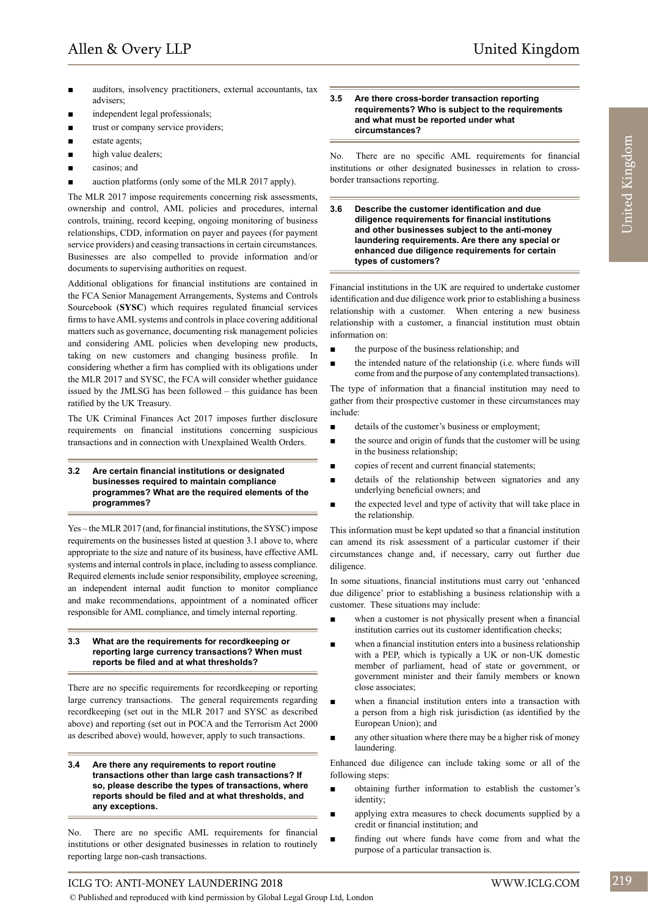- auditors, insolvency practitioners, external accountants, tax advisers;
- independent legal professionals;
- trust or company service providers;
- estate agents:
- high value dealers;
- casinos: and
- auction platforms (only some of the MLR 2017 apply).

The MLR 2017 impose requirements concerning risk assessments, ownership and control, AML policies and procedures, internal controls, training, record keeping, ongoing monitoring of business relationships, CDD, information on payer and payees (for payment service providers) and ceasing transactions in certain circumstances. Businesses are also compelled to provide information and/or documents to supervising authorities on request.

Additional obligations for financial institutions are contained in the FCA Senior Management Arrangements, Systems and Controls Sourcebook (**SYSC**) which requires regulated financial services firms to have AML systems and controls in place covering additional matters such as governance, documenting risk management policies and considering AML policies when developing new products, taking on new customers and changing business profile. In considering whether a firm has complied with its obligations under the MLR 2017 and SYSC, the FCA will consider whether guidance issued by the JMLSG has been followed – this guidance has been ratified by the UK Treasury.

The UK Criminal Finances Act 2017 imposes further disclosure requirements on financial institutions concerning suspicious transactions and in connection with Unexplained Wealth Orders.

#### **3.2 Are certain financial institutions or designated businesses required to maintain compliance programmes? What are the required elements of the programmes?**

Yes – the MLR 2017 (and, for financial institutions, the SYSC) impose requirements on the businesses listed at question 3.1 above to, where appropriate to the size and nature of its business, have effective AML systems and internal controls in place, including to assess compliance. Required elements include senior responsibility, employee screening, an independent internal audit function to monitor compliance and make recommendations, appointment of a nominated officer responsible for AML compliance, and timely internal reporting.

#### **3.3 What are the requirements for recordkeeping or reporting large currency transactions? When must reports be filed and at what thresholds?**

There are no specific requirements for recordkeeping or reporting large currency transactions. The general requirements regarding recordkeeping (set out in the MLR 2017 and SYSC as described above) and reporting (set out in POCA and the Terrorism Act 2000 as described above) would, however, apply to such transactions.

**3.4 Are there any requirements to report routine transactions other than large cash transactions? If so, please describe the types of transactions, where reports should be filed and at what thresholds, and any exceptions.**

No. There are no specific AML requirements for financial institutions or other designated businesses in relation to routinely reporting large non-cash transactions.

#### **3.5 Are there cross-border transaction reporting requirements? Who is subject to the requirements and what must be reported under what circumstances?**

No. There are no specific AML requirements for financial institutions or other designated businesses in relation to crossborder transactions reporting.

**3.6 Describe the customer identification and due diligence requirements for financial institutions and other businesses subject to the anti-money laundering requirements. Are there any special or enhanced due diligence requirements for certain types of customers?** 

Financial institutions in the UK are required to undertake customer identification and due diligence work prior to establishing a business relationship with a customer. When entering a new business relationship with a customer, a financial institution must obtain information on:

- the purpose of the business relationship; and
- the intended nature of the relationship (i.e. where funds will come from and the purpose of any contemplated transactions).

The type of information that a financial institution may need to gather from their prospective customer in these circumstances may include:

- details of the customer's business or employment;
- the source and origin of funds that the customer will be using in the business relationship;
- copies of recent and current financial statements;
- details of the relationship between signatories and any underlying beneficial owners; and
- the expected level and type of activity that will take place in the relationship.

This information must be kept updated so that a financial institution can amend its risk assessment of a particular customer if their circumstances change and, if necessary, carry out further due diligence

In some situations, financial institutions must carry out 'enhanced due diligence' prior to establishing a business relationship with a customer. These situations may include:

- when a customer is not physically present when a financial institution carries out its customer identification checks;
- when a financial institution enters into a business relationship with a PEP, which is typically a UK or non-UK domestic member of parliament, head of state or government, or government minister and their family members or known close associates;
- when a financial institution enters into a transaction with a person from a high risk jurisdiction (as identified by the European Union); and
- any other situation where there may be a higher risk of money laundering.

Enhanced due diligence can include taking some or all of the following steps:

- obtaining further information to establish the customer's identity;
- applying extra measures to check documents supplied by a credit or financial institution; and
- finding out where funds have come from and what the purpose of a particular transaction is.

## ICLG TO: ANTI-MONEY LAUNDERING 2018 WWW.ICLG.COM 219

© Published and reproduced with kind permission by Global Legal Group Ltd, London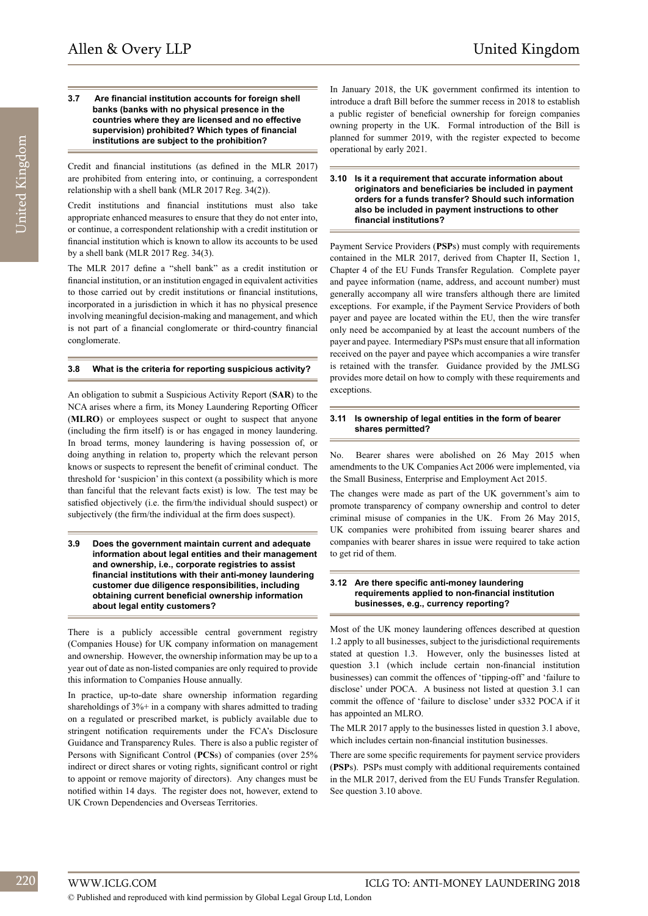#### **3.7 Are financial institution accounts for foreign shell banks (banks with no physical presence in the countries where they are licensed and no effective supervision) prohibited? Which types of financial institutions are subject to the prohibition?**

Credit and financial institutions (as defined in the MLR 2017) are prohibited from entering into, or continuing, a correspondent relationship with a shell bank (MLR 2017 Reg. 34(2)).

Credit institutions and financial institutions must also take appropriate enhanced measures to ensure that they do not enter into, or continue, a correspondent relationship with a credit institution or financial institution which is known to allow its accounts to be used by a shell bank (MLR 2017 Reg. 34(3).

The MLR 2017 define a "shell bank" as a credit institution or financial institution, or an institution engaged in equivalent activities to those carried out by credit institutions or financial institutions, incorporated in a jurisdiction in which it has no physical presence involving meaningful decision-making and management, and which is not part of a financial conglomerate or third-country financial conglomerate.

#### **3.8 What is the criteria for reporting suspicious activity?**

An obligation to submit a Suspicious Activity Report (**SAR**) to the NCA arises where a firm, its Money Laundering Reporting Officer (**MLRO**) or employees suspect or ought to suspect that anyone (including the firm itself) is or has engaged in money laundering. In broad terms, money laundering is having possession of, or doing anything in relation to, property which the relevant person knows or suspects to represent the benefit of criminal conduct. The threshold for 'suspicion' in this context (a possibility which is more than fanciful that the relevant facts exist) is low. The test may be satisfied objectively (i.e. the firm/the individual should suspect) or subjectively (the firm/the individual at the firm does suspect).

**3.9 Does the government maintain current and adequate information about legal entities and their management and ownership, i.e., corporate registries to assist financial institutions with their anti-money laundering customer due diligence responsibilities, including obtaining current beneficial ownership information about legal entity customers?**

There is a publicly accessible central government registry (Companies House) for UK company information on management and ownership. However, the ownership information may be up to a year out of date as non-listed companies are only required to provide this information to Companies House annually.

In practice, up-to-date share ownership information regarding shareholdings of 3%+ in a company with shares admitted to trading on a regulated or prescribed market, is publicly available due to stringent notification requirements under the FCA's Disclosure Guidance and Transparency Rules. There is also a public register of Persons with Significant Control (**PCS**s) of companies (over 25% indirect or direct shares or voting rights, significant control or right to appoint or remove majority of directors). Any changes must be notified within 14 days. The register does not, however, extend to UK Crown Dependencies and Overseas Territories.

In January 2018, the UK government confirmed its intention to introduce a draft Bill before the summer recess in 2018 to establish a public register of beneficial ownership for foreign companies owning property in the UK. Formal introduction of the Bill is planned for summer 2019, with the register expected to become operational by early 2021.

#### **3.10 Is it a requirement that accurate information about originators and beneficiaries be included in payment orders for a funds transfer? Should such information also be included in payment instructions to other financial institutions?**

Payment Service Providers (**PSP**s) must comply with requirements contained in the MLR 2017, derived from Chapter II, Section 1, Chapter 4 of the EU Funds Transfer Regulation. Complete payer and payee information (name, address, and account number) must generally accompany all wire transfers although there are limited exceptions. For example, if the Payment Service Providers of both payer and payee are located within the EU, then the wire transfer only need be accompanied by at least the account numbers of the payer and payee. Intermediary PSPs must ensure that all information received on the payer and payee which accompanies a wire transfer is retained with the transfer. Guidance provided by the JMLSG provides more detail on how to comply with these requirements and exceptions.

#### **3.11 Is ownership of legal entities in the form of bearer shares permitted?**

No. Bearer shares were abolished on 26 May 2015 when amendments to the UK Companies Act 2006 were implemented, via the Small Business, Enterprise and Employment Act 2015.

The changes were made as part of the UK government's aim to promote transparency of company ownership and control to deter criminal misuse of companies in the UK. From 26 May 2015, UK companies were prohibited from issuing bearer shares and companies with bearer shares in issue were required to take action to get rid of them.

#### **3.12 Are there specific anti-money laundering requirements applied to non-financial institution businesses, e.g., currency reporting?**

Most of the UK money laundering offences described at question 1.2 apply to all businesses, subject to the jurisdictional requirements stated at question 1.3. However, only the businesses listed at question 3.1 (which include certain non-financial institution businesses) can commit the offences of 'tipping-off' and 'failure to disclose' under POCA. A business not listed at question 3.1 can commit the offence of 'failure to disclose' under s332 POCA if it has appointed an MLRO.

The MLR 2017 apply to the businesses listed in question 3.1 above, which includes certain non-financial institution businesses.

There are some specific requirements for payment service providers (**PSP**s). PSPs must comply with additional requirements contained in the MLR 2017, derived from the EU Funds Transfer Regulation. See question 3.10 above.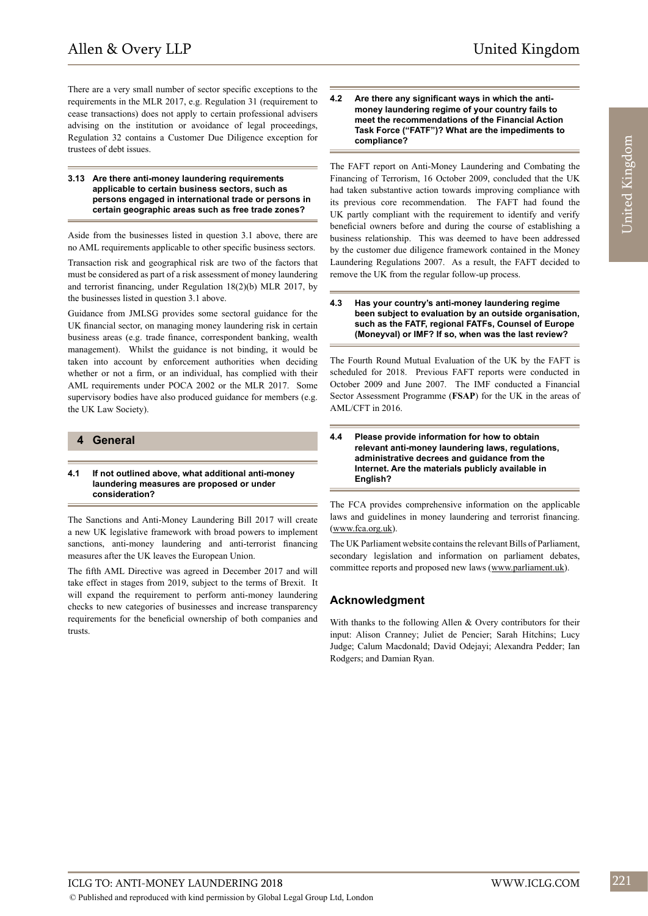There are a very small number of sector specific exceptions to the requirements in the MLR 2017, e.g. Regulation 31 (requirement to cease transactions) does not apply to certain professional advisers advising on the institution or avoidance of legal proceedings, Regulation 32 contains a Customer Due Diligence exception for trustees of debt issues.

#### **3.13 Are there anti-money laundering requirements applicable to certain business sectors, such as persons engaged in international trade or persons in certain geographic areas such as free trade zones?**

Aside from the businesses listed in question 3.1 above, there are no AML requirements applicable to other specific business sectors.

Transaction risk and geographical risk are two of the factors that must be considered as part of a risk assessment of money laundering and terrorist financing, under Regulation 18(2)(b) MLR 2017, by the businesses listed in question 3.1 above.

Guidance from JMLSG provides some sectoral guidance for the UK financial sector, on managing money laundering risk in certain business areas (e.g. trade finance, correspondent banking, wealth management). Whilst the guidance is not binding, it would be taken into account by enforcement authorities when deciding whether or not a firm, or an individual, has complied with their AML requirements under POCA 2002 or the MLR 2017. Some supervisory bodies have also produced guidance for members (e.g. the UK Law Society).

#### **4 General**

#### **4.1 If not outlined above, what additional anti-money laundering measures are proposed or under consideration?**

The Sanctions and Anti-Money Laundering Bill 2017 will create a new UK legislative framework with broad powers to implement sanctions, anti-money laundering and anti-terrorist financing measures after the UK leaves the European Union.

The fifth AML Directive was agreed in December 2017 and will take effect in stages from 2019, subject to the terms of Brexit. It will expand the requirement to perform anti-money laundering checks to new categories of businesses and increase transparency requirements for the beneficial ownership of both companies and trusts.

#### **4.2 Are there any significant ways in which the antimoney laundering regime of your country fails to meet the recommendations of the Financial Action Task Force ("FATF")? What are the impediments to compliance?**

The FAFT report on Anti-Money Laundering and Combating the Financing of Terrorism, 16 October 2009, concluded that the UK had taken substantive action towards improving compliance with its previous core recommendation. The FAFT had found the UK partly compliant with the requirement to identify and verify beneficial owners before and during the course of establishing a business relationship. This was deemed to have been addressed by the customer due diligence framework contained in the Money Laundering Regulations 2007. As a result, the FAFT decided to remove the UK from the regular follow-up process.

#### **4.3 Has your country's anti-money laundering regime been subject to evaluation by an outside organisation, such as the FATF, regional FATFs, Counsel of Europe (Moneyval) or IMF? If so, when was the last review?**

The Fourth Round Mutual Evaluation of the UK by the FAFT is scheduled for 2018. Previous FAFT reports were conducted in October 2009 and June 2007. The IMF conducted a Financial Sector Assessment Programme (**FSAP**) for the UK in the areas of AML/CFT in 2016.

#### **4.4 Please provide information for how to obtain relevant anti-money laundering laws, regulations, administrative decrees and guidance from the Internet. Are the materials publicly available in English?**

The FCA provides comprehensive information on the applicable laws and guidelines in money laundering and terrorist financing. (www.fca.org.uk).

The UK Parliament website contains the relevant Bills of Parliament, secondary legislation and information on parliament debates, committee reports and proposed new laws (www.parliament.uk).

#### **Acknowledgment**

With thanks to the following Allen & Overy contributors for their input: Alison Cranney; Juliet de Pencier; Sarah Hitchins; Lucy Judge; Calum Macdonald; David Odejayi; Alexandra Pedder; Ian Rodgers; and Damian Ryan.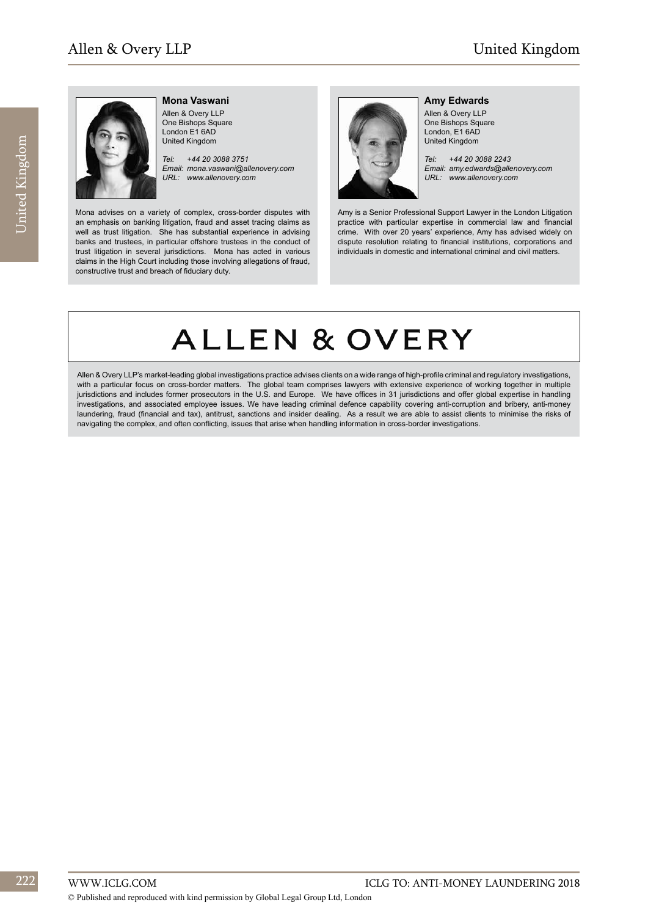

**Mona Vaswani** Allen & Overy LLP One Bishops Square

London E1 6AD United Kingdom

*Tel: +44 20 3088 3751 Email: mona.vaswani@allenovery.com URL: www.allenovery.com*

Mona advises on a variety of complex, cross-border disputes with an emphasis on banking litigation, fraud and asset tracing claims as well as trust litigation. She has substantial experience in advising banks and trustees, in particular offshore trustees in the conduct of trust litigation in several jurisdictions. Mona has acted in various claims in the High Court including those involving allegations of fraud, constructive trust and breach of fiduciary duty.



**Amy Edwards** Allen & Overy LLP One Bishops Square London, E1 6AD United Kingdom

*Tel: +44 20 3088 2243 Email: amy.edwards@allenovery.com URL: www.allenovery.com*

Amy is a Senior Professional Support Lawyer in the London Litigation practice with particular expertise in commercial law and financial crime. With over 20 years' experience, Amy has advised widely on dispute resolution relating to financial institutions, corporations and individuals in domestic and international criminal and civil matters.

# **ALLEN & OVERY**

Allen & Overy LLP's market-leading global investigations practice advises clients on a wide range of high-profile criminal and regulatory investigations, with a particular focus on cross-border matters. The global team comprises lawyers with extensive experience of working together in multiple jurisdictions and includes former prosecutors in the U.S. and Europe. We have offices in 31 jurisdictions and offer global expertise in handling investigations, and associated employee issues. We have leading criminal defence capability covering anti-corruption and bribery, anti-money laundering, fraud (financial and tax), antitrust, sanctions and insider dealing. As a result we are able to assist clients to minimise the risks of navigating the complex, and often conflicting, issues that arise when handling information in cross-border investigations.